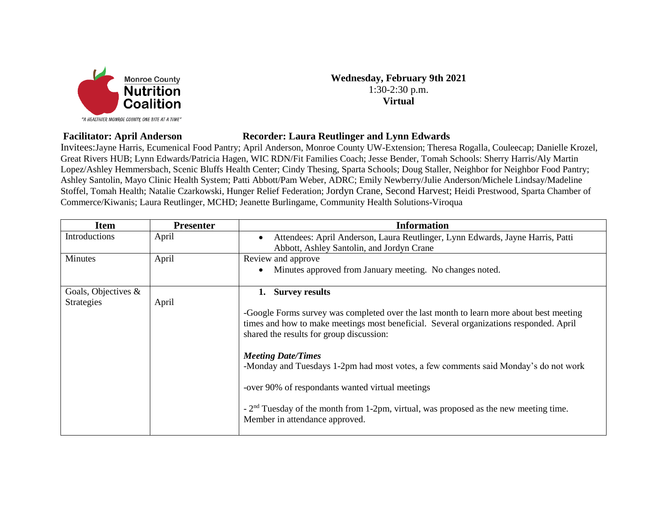

## **Wednesday, February 9th 2021** 1:30-2:30 p.m. **Virtual**

## **Facilitator: April Anderson Recorder: Laura Reutlinger and Lynn Edwards**

Invitees:Jayne Harris, Ecumenical Food Pantry; April Anderson, Monroe County UW-Extension; Theresa Rogalla, Couleecap; Danielle Krozel, Great Rivers HUB; Lynn Edwards/Patricia Hagen, WIC RDN/Fit Families Coach; Jesse Bender, Tomah Schools: Sherry Harris/Aly Martin Lopez/Ashley Hemmersbach, Scenic Bluffs Health Center; Cindy Thesing, Sparta Schools; Doug Staller, Neighbor for Neighbor Food Pantry; Ashley Santolin, Mayo Clinic Health System; Patti Abbott/Pam Weber, ADRC; Emily Newberry/Julie Anderson/Michele Lindsay/Madeline Stoffel, Tomah Health; Natalie Czarkowski, Hunger Relief Federation; Jordyn Crane, Second Harvest; Heidi Prestwood, Sparta Chamber of Commerce/Kiwanis; Laura Reutlinger, MCHD; Jeanette Burlingame, Community Health Solutions-Viroqua

| <b>Item</b>         | <b>Presenter</b> | <b>Information</b>                                                                                                                                                                                                            |
|---------------------|------------------|-------------------------------------------------------------------------------------------------------------------------------------------------------------------------------------------------------------------------------|
| Introductions       | April            | Attendees: April Anderson, Laura Reutlinger, Lynn Edwards, Jayne Harris, Patti<br>$\bullet$                                                                                                                                   |
|                     |                  | Abbott, Ashley Santolin, and Jordyn Crane                                                                                                                                                                                     |
| Minutes             | April            | Review and approve                                                                                                                                                                                                            |
|                     |                  | Minutes approved from January meeting. No changes noted.<br>$\bullet$                                                                                                                                                         |
| Goals, Objectives & |                  | 1. Survey results                                                                                                                                                                                                             |
| <b>Strategies</b>   | April            |                                                                                                                                                                                                                               |
|                     |                  | -Google Forms survey was completed over the last month to learn more about best meeting<br>times and how to make meetings most beneficial. Several organizations responded. April<br>shared the results for group discussion: |
|                     |                  | <b>Meeting Date/Times</b>                                                                                                                                                                                                     |
|                     |                  | -Monday and Tuesdays 1-2pm had most votes, a few comments said Monday's do not work                                                                                                                                           |
|                     |                  | -over 90% of respondants wanted virtual meetings                                                                                                                                                                              |
|                     |                  | $-2nd$ Tuesday of the month from 1-2pm, virtual, was proposed as the new meeting time.<br>Member in attendance approved.                                                                                                      |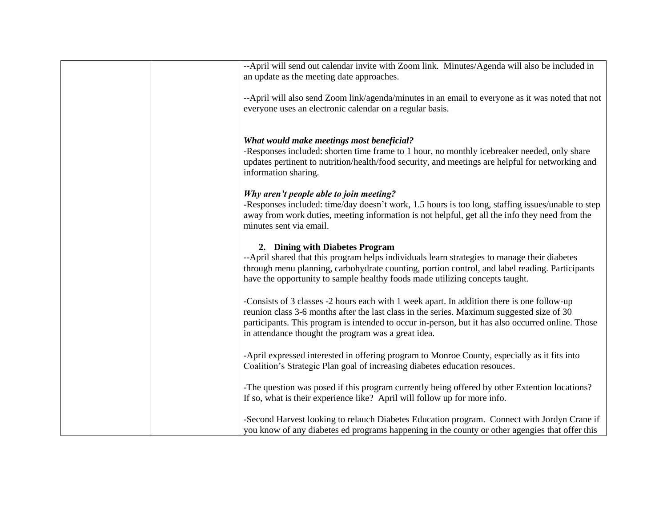| --April will send out calendar invite with Zoom link. Minutes/Agenda will also be included in<br>an update as the meeting date approaches.                                                                                                                                     |
|--------------------------------------------------------------------------------------------------------------------------------------------------------------------------------------------------------------------------------------------------------------------------------|
| --April will also send Zoom link/agenda/minutes in an email to everyone as it was noted that not<br>everyone uses an electronic calendar on a regular basis.                                                                                                                   |
| What would make meetings most beneficial?                                                                                                                                                                                                                                      |
| -Responses included: shorten time frame to 1 hour, no monthly icebreaker needed, only share<br>updates pertinent to nutrition/health/food security, and meetings are helpful for networking and<br>information sharing.                                                        |
| Why aren't people able to join meeting?                                                                                                                                                                                                                                        |
| -Responses included: time/day doesn't work, 1.5 hours is too long, staffing issues/unable to step<br>away from work duties, meeting information is not helpful, get all the info they need from the<br>minutes sent via email.                                                 |
| 2. Dining with Diabetes Program                                                                                                                                                                                                                                                |
| --April shared that this program helps individuals learn strategies to manage their diabetes<br>through menu planning, carbohydrate counting, portion control, and label reading. Participants<br>have the opportunity to sample healthy foods made utilizing concepts taught. |
| -Consists of 3 classes -2 hours each with 1 week apart. In addition there is one follow-up                                                                                                                                                                                     |
| reunion class 3-6 months after the last class in the series. Maximum suggested size of 30<br>participants. This program is intended to occur in-person, but it has also occurred online. Those<br>in attendance thought the program was a great idea.                          |
| -April expressed interested in offering program to Monroe County, especially as it fits into<br>Coalition's Strategic Plan goal of increasing diabetes education resouces.                                                                                                     |
| -The question was posed if this program currently being offered by other Extention locations?<br>If so, what is their experience like? April will follow up for more info.                                                                                                     |
| -Second Harvest looking to relauch Diabetes Education program. Connect with Jordyn Crane if                                                                                                                                                                                    |
| you know of any diabetes ed programs happening in the county or other agengies that offer this                                                                                                                                                                                 |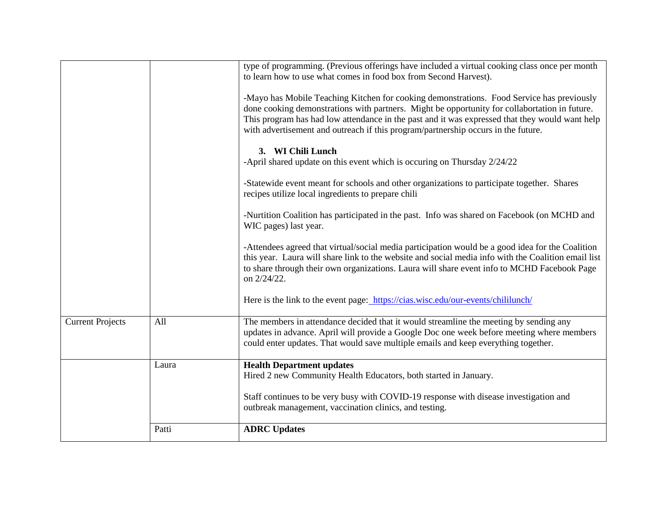|                         |       | type of programming. (Previous offerings have included a virtual cooking class once per month<br>to learn how to use what comes in food box from Second Harvest).                                                                                                                                                                                                                 |
|-------------------------|-------|-----------------------------------------------------------------------------------------------------------------------------------------------------------------------------------------------------------------------------------------------------------------------------------------------------------------------------------------------------------------------------------|
|                         |       | -Mayo has Mobile Teaching Kitchen for cooking demonstrations. Food Service has previously<br>done cooking demonstrations with partners. Might be opportunity for collabortation in future.<br>This program has had low attendance in the past and it was expressed that they would want help<br>with advertisement and outreach if this program/partnership occurs in the future. |
|                         |       | 3. WI Chili Lunch<br>-April shared update on this event which is occuring on Thursday 2/24/22                                                                                                                                                                                                                                                                                     |
|                         |       | -Statewide event meant for schools and other organizations to participate together. Shares<br>recipes utilize local ingredients to prepare chili                                                                                                                                                                                                                                  |
|                         |       | -Nurtition Coalition has participated in the past. Info was shared on Facebook (on MCHD and<br>WIC pages) last year.                                                                                                                                                                                                                                                              |
|                         |       | -Attendees agreed that virtual/social media participation would be a good idea for the Coalition<br>this year. Laura will share link to the website and social media info with the Coalition email list<br>to share through their own organizations. Laura will share event info to MCHD Facebook Page<br>on 2/24/22.                                                             |
|                         |       | Here is the link to the event page: https://cias.wisc.edu/our-events/chililunch/                                                                                                                                                                                                                                                                                                  |
| <b>Current Projects</b> | All   | The members in attendance decided that it would streamline the meeting by sending any<br>updates in advance. April will provide a Google Doc one week before meeting where members<br>could enter updates. That would save multiple emails and keep everything together.                                                                                                          |
|                         | Laura | <b>Health Department updates</b><br>Hired 2 new Community Health Educators, both started in January.                                                                                                                                                                                                                                                                              |
|                         |       | Staff continues to be very busy with COVID-19 response with disease investigation and<br>outbreak management, vaccination clinics, and testing.                                                                                                                                                                                                                                   |
|                         | Patti | <b>ADRC</b> Updates                                                                                                                                                                                                                                                                                                                                                               |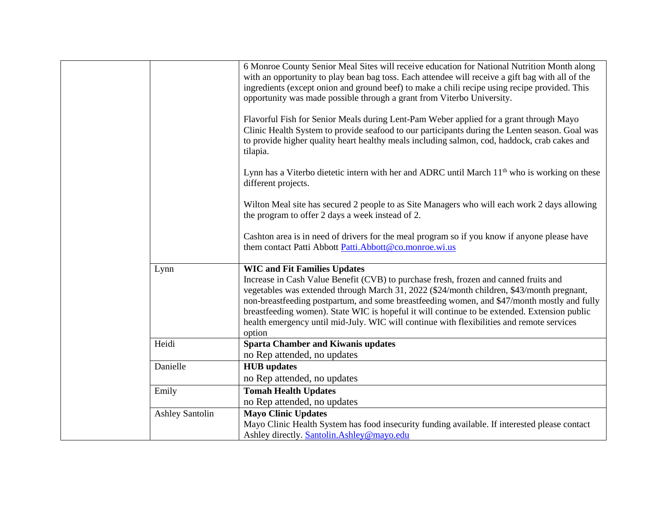|                        | 6 Monroe County Senior Meal Sites will receive education for National Nutrition Month along<br>with an opportunity to play bean bag toss. Each attendee will receive a gift bag with all of the<br>ingredients (except onion and ground beef) to make a chili recipe using recipe provided. This<br>opportunity was made possible through a grant from Viterbo University.                                                                                                                                                     |
|------------------------|--------------------------------------------------------------------------------------------------------------------------------------------------------------------------------------------------------------------------------------------------------------------------------------------------------------------------------------------------------------------------------------------------------------------------------------------------------------------------------------------------------------------------------|
|                        | Flavorful Fish for Senior Meals during Lent-Pam Weber applied for a grant through Mayo<br>Clinic Health System to provide seafood to our participants during the Lenten season. Goal was<br>to provide higher quality heart healthy meals including salmon, cod, haddock, crab cakes and<br>tilapia.                                                                                                                                                                                                                           |
|                        | Lynn has a Viterbo dietetic intern with her and ADRC until March $11th$ who is working on these<br>different projects.                                                                                                                                                                                                                                                                                                                                                                                                         |
|                        | Wilton Meal site has secured 2 people to as Site Managers who will each work 2 days allowing<br>the program to offer 2 days a week instead of 2.                                                                                                                                                                                                                                                                                                                                                                               |
|                        | Cashton area is in need of drivers for the meal program so if you know if anyone please have<br>them contact Patti Abbott Patti.Abbott@co.monroe.wi.us                                                                                                                                                                                                                                                                                                                                                                         |
| Lynn                   | <b>WIC and Fit Families Updates</b><br>Increase in Cash Value Benefit (CVB) to purchase fresh, frozen and canned fruits and<br>vegetables was extended through March 31, 2022 (\$24/month children, \$43/month pregnant,<br>non-breastfeeding postpartum, and some breastfeeding women, and \$47/month mostly and fully<br>breastfeeding women). State WIC is hopeful it will continue to be extended. Extension public<br>health emergency until mid-July. WIC will continue with flexibilities and remote services<br>option |
| Heidi                  | <b>Sparta Chamber and Kiwanis updates</b><br>no Rep attended, no updates                                                                                                                                                                                                                                                                                                                                                                                                                                                       |
| Danielle               | <b>HUB</b> updates                                                                                                                                                                                                                                                                                                                                                                                                                                                                                                             |
|                        | no Rep attended, no updates                                                                                                                                                                                                                                                                                                                                                                                                                                                                                                    |
| Emily                  | <b>Tomah Health Updates</b><br>no Rep attended, no updates                                                                                                                                                                                                                                                                                                                                                                                                                                                                     |
| <b>Ashley Santolin</b> | <b>Mayo Clinic Updates</b>                                                                                                                                                                                                                                                                                                                                                                                                                                                                                                     |
|                        | Mayo Clinic Health System has food insecurity funding available. If interested please contact<br>Ashley directly. Santolin.Ashley@mayo.edu                                                                                                                                                                                                                                                                                                                                                                                     |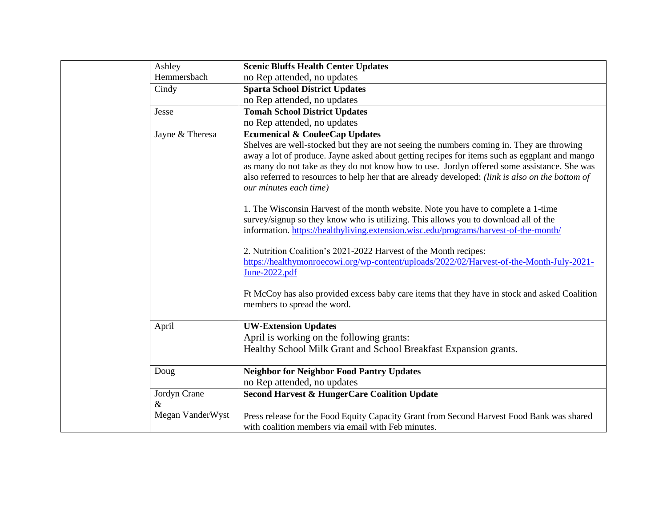|  | Ashley           | <b>Scenic Bluffs Health Center Updates</b>                                                                                                                                                                                                                                                                                                                                                                                                                            |
|--|------------------|-----------------------------------------------------------------------------------------------------------------------------------------------------------------------------------------------------------------------------------------------------------------------------------------------------------------------------------------------------------------------------------------------------------------------------------------------------------------------|
|  | Hemmersbach      | no Rep attended, no updates                                                                                                                                                                                                                                                                                                                                                                                                                                           |
|  | Cindy            | <b>Sparta School District Updates</b>                                                                                                                                                                                                                                                                                                                                                                                                                                 |
|  |                  | no Rep attended, no updates                                                                                                                                                                                                                                                                                                                                                                                                                                           |
|  | Jesse            | <b>Tomah School District Updates</b>                                                                                                                                                                                                                                                                                                                                                                                                                                  |
|  |                  | no Rep attended, no updates                                                                                                                                                                                                                                                                                                                                                                                                                                           |
|  | Jayne & Theresa  | <b>Ecumenical &amp; CouleeCap Updates</b><br>Shelves are well-stocked but they are not seeing the numbers coming in. They are throwing<br>away a lot of produce. Jayne asked about getting recipes for items such as eggplant and mango<br>as many do not take as they do not know how to use. Jordyn offered some assistance. She was<br>also referred to resources to help her that are already developed: (link is also on the bottom of<br>our minutes each time) |
|  |                  | 1. The Wisconsin Harvest of the month website. Note you have to complete a 1-time<br>survey/signup so they know who is utilizing. This allows you to download all of the<br>information. https://healthyliving.extension.wisc.edu/programs/harvest-of-the-month/                                                                                                                                                                                                      |
|  |                  | 2. Nutrition Coalition's 2021-2022 Harvest of the Month recipes:<br>https://healthymonroecowi.org/wp-content/uploads/2022/02/Harvest-of-the-Month-July-2021-<br>June-2022.pdf                                                                                                                                                                                                                                                                                         |
|  |                  | Ft McCoy has also provided excess baby care items that they have in stock and asked Coalition<br>members to spread the word.                                                                                                                                                                                                                                                                                                                                          |
|  | April            | <b>UW-Extension Updates</b>                                                                                                                                                                                                                                                                                                                                                                                                                                           |
|  |                  | April is working on the following grants:                                                                                                                                                                                                                                                                                                                                                                                                                             |
|  |                  | Healthy School Milk Grant and School Breakfast Expansion grants.                                                                                                                                                                                                                                                                                                                                                                                                      |
|  | Doug             | <b>Neighbor for Neighbor Food Pantry Updates</b>                                                                                                                                                                                                                                                                                                                                                                                                                      |
|  |                  | no Rep attended, no updates                                                                                                                                                                                                                                                                                                                                                                                                                                           |
|  | Jordyn Crane     | <b>Second Harvest &amp; HungerCare Coalition Update</b>                                                                                                                                                                                                                                                                                                                                                                                                               |
|  | &                |                                                                                                                                                                                                                                                                                                                                                                                                                                                                       |
|  | Megan VanderWyst | Press release for the Food Equity Capacity Grant from Second Harvest Food Bank was shared<br>with coalition members via email with Feb minutes.                                                                                                                                                                                                                                                                                                                       |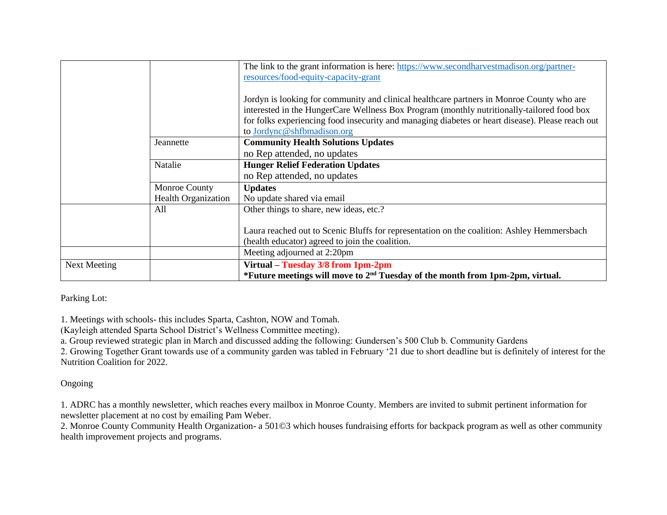|              |                            | The link to the grant information is here: https://www.secondharvestmadison.org/partner-<br>resources/food-equity-capacity-grant                                                                                                                                                                                          |
|--------------|----------------------------|---------------------------------------------------------------------------------------------------------------------------------------------------------------------------------------------------------------------------------------------------------------------------------------------------------------------------|
|              |                            | Jordyn is looking for community and clinical healthcare partners in Monroe County who are<br>interested in the HungerCare Wellness Box Program (monthly nutritionally-tailored food box<br>for folks experiencing food insecurity and managing diabetes or heart disease). Please reach out<br>to Jordync@shfbmadison.org |
|              | Jeannette                  | <b>Community Health Solutions Updates</b>                                                                                                                                                                                                                                                                                 |
|              | Natalie                    | no Rep attended, no updates<br><b>Hunger Relief Federation Updates</b>                                                                                                                                                                                                                                                    |
|              |                            | no Rep attended, no updates                                                                                                                                                                                                                                                                                               |
|              | Monroe County              | <b>Updates</b>                                                                                                                                                                                                                                                                                                            |
|              | <b>Health Organization</b> | No update shared via email                                                                                                                                                                                                                                                                                                |
|              | All                        | Other things to share, new ideas, etc.?                                                                                                                                                                                                                                                                                   |
|              |                            | Laura reached out to Scenic Bluffs for representation on the coalition: Ashley Hemmersbach                                                                                                                                                                                                                                |
|              |                            | (health educator) agreed to join the coalition.                                                                                                                                                                                                                                                                           |
|              |                            | Meeting adjourned at 2:20pm                                                                                                                                                                                                                                                                                               |
| Next Meeting |                            | Virtual – Tuesday 3/8 from 1pm-2pm                                                                                                                                                                                                                                                                                        |
|              |                            | *Future meetings will move to 2 <sup>nd</sup> Tuesday of the month from 1pm-2pm, virtual.                                                                                                                                                                                                                                 |

Parking Lot:

1. Meetings with schools- this includes Sparta, Cashton, NOW and Tomah.

(Kayleigh attended Sparta School District's Wellness Committee meeting).

a. Group reviewed strategic plan in March and discussed adding the following: Gundersen's 500 Club b. Community Gardens

2. Growing Together Grant towards use of a community garden was tabled in February '21 due to short deadline but is definitely of interest for the Nutrition Coalition for 2022.

Ongoing

1. ADRC has a monthly newsletter, which reaches every mailbox in Monroe County. Members are invited to submit pertinent information for newsletter placement at no cost by emailing Pam Weber.

2. Monroe County Community Health Organization- a 501©3 which houses fundraising efforts for backpack program as well as other community health improvement projects and programs.